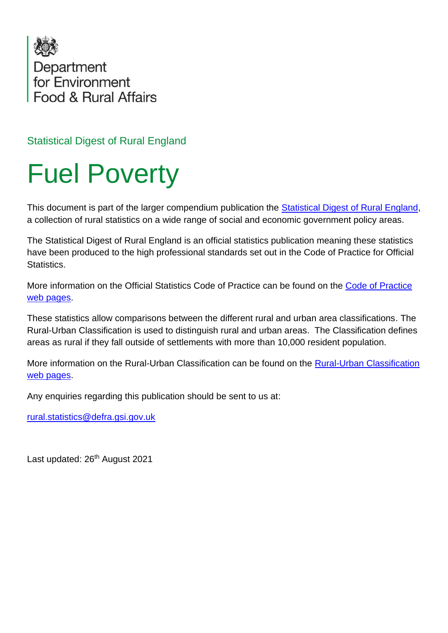

Statistical Digest of Rural England

## Fuel Poverty

This document is part of the larger compendium publication the [Statistical Digest of Rural England,](https://www.gov.uk/government/statistics/statistical-digest-of-rural-england) a collection of rural statistics on a wide range of social and economic government policy areas.

The Statistical Digest of Rural England is an official statistics publication meaning these statistics have been produced to the high professional standards set out in the Code of Practice for Official Statistics.

More information on the Official Statistics Code of Practice can be found on the [Code of Practice](https://code.statisticsauthority.gov.uk/)  [web pages.](https://code.statisticsauthority.gov.uk/)

These statistics allow comparisons between the different rural and urban area classifications. The Rural-Urban Classification is used to distinguish rural and urban areas. The Classification defines areas as rural if they fall outside of settlements with more than 10,000 resident population.

More information on the Rural-Urban Classification can be found on the [Rural-Urban Classification](https://www.gov.uk/government/collections/rural-urban-classification)  [web pages.](https://www.gov.uk/government/collections/rural-urban-classification)

Any enquiries regarding this publication should be sent to us at:

[rural.statistics@defra.gsi.gov.uk](mailto:rural.statistics@defra.gsi.gov.uk)

Last updated: 26<sup>th</sup> August 2021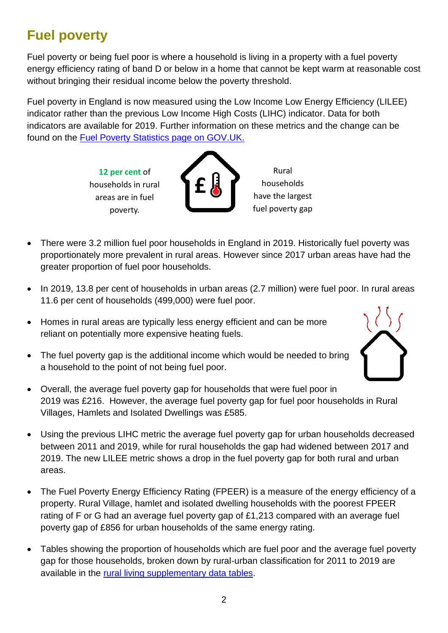## **Fuel poverty**

Fuel poverty or being fuel poor is where a household is living in a property with a fuel poverty energy efficiency rating of band D or below in a home that cannot be kept warm at reasonable cost without bringing their residual income below the poverty threshold.

Fuel poverty in England is now measured using the Low Income Low Energy Efficiency (LILEE) indicator rather than the previous Low Income High Costs (LIHC) indicator. Data for both indicators are available for 2019. Further information on these metrics and the change can be found on the [Fuel Poverty Statistics page on GOV.UK.](https://www.gov.uk/government/collections/fuel-poverty-statistics)

**£**

**12 per cent** of households in rural areas are in fuel poverty.

Rural households have the largest fuel poverty gap

- There were 3.2 million fuel poor households in England in 2019. Historically fuel poverty was proportionately more prevalent in rural areas. However since 2017 urban areas have had the greater proportion of fuel poor households.
- In 2019, 13.8 per cent of households in urban areas (2.7 million) were fuel poor. In rural areas 11.6 per cent of households (499,000) were fuel poor.
- Homes in rural areas are typically less energy efficient and can be more reliant on potentially more expensive heating fuels.



- The fuel poverty gap is the additional income which would be needed to bring a household to the point of not being fuel poor.
- Overall, the average fuel poverty gap for households that were fuel poor in 2019 was £216. However, the average fuel poverty gap for fuel poor households in Rural Villages, Hamlets and Isolated Dwellings was £585.
- Using the previous LIHC metric the average fuel poverty gap for urban households decreased between 2011 and 2019, while for rural households the gap had widened between 2017 and 2019. The new LILEE metric shows a drop in the fuel poverty gap for both rural and urban areas.
- The Fuel Poverty Energy Efficiency Rating (FPEER) is a measure of the energy efficiency of a property. Rural Village, hamlet and isolated dwelling households with the poorest FPEER rating of F or G had an average fuel poverty gap of £1,213 compared with an average fuel poverty gap of £856 for urban households of the same energy rating.
- Tables showing the proportion of households which are fuel poor and the average fuel poverty gap for those households, broken down by rural-urban classification for 2011 to 2019 are available in the [rural living supplementary data tables.](https://www.gov.uk/government/statistics/statistical-digest-of-rural-england)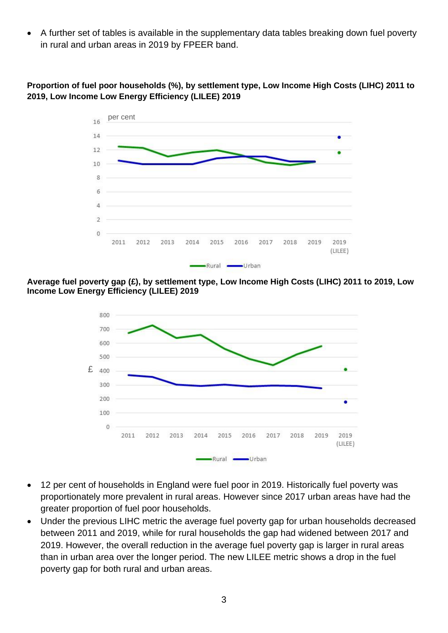• A further set of tables is available in the supplementary data tables breaking down fuel poverty in rural and urban areas in 2019 by FPEER band.

## **Proportion of fuel poor households (%), by settlement type, Low Income High Costs (LIHC) 2011 to 2019, Low Income Low Energy Efficiency (LILEE) 2019**



**Average fuel poverty gap (£), by settlement type, Low Income High Costs (LIHC) 2011 to 2019, Low Income Low Energy Efficiency (LILEE) 2019**



- 12 per cent of households in England were fuel poor in 2019. Historically fuel poverty was proportionately more prevalent in rural areas. However since 2017 urban areas have had the greater proportion of fuel poor households.
- Under the previous LIHC metric the average fuel poverty gap for urban households decreased between 2011 and 2019, while for rural households the gap had widened between 2017 and 2019. However, the overall reduction in the average fuel poverty gap is larger in rural areas than in urban area over the longer period. The new LILEE metric shows a drop in the fuel poverty gap for both rural and urban areas.